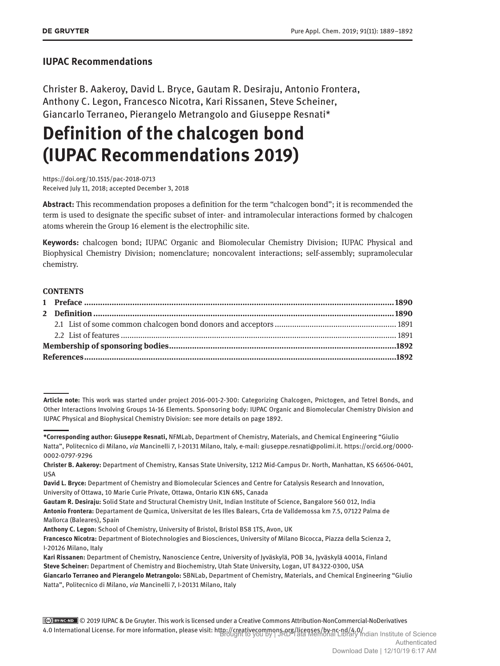### **IUPAC Recommendations**

Christer B. Aakeroy, David L. Bryce, Gautam R. Desiraju, Antonio Frontera, Anthony C. Legon, Francesco Nicotra, Kari Rissanen, Steve Scheiner, Giancarlo Terraneo, Pierangelo Metrangolo and Giuseppe Resnati\*

# Definition of the chalcogen bond (IUPAC Recommendations 2019)

https://doi.org/10.1515/pac-2018-0713 Received July 11, 2018; accepted December 3, 2018

**Abstract:** This recommendation proposes a definition for the term "chalcogen bond"; it is recommended the term is used to designate the specific subset of inter- and intramolecular interactions formed by chalcogen atoms wherein the Group 16 element is the electrophilic site.

Keywords: chalcogen bond; IUPAC Organic and Biomolecular Chemistry Division; IUPAC Physical and Biophysical Chemistry Division; nomenclature; noncovalent interactions; self-assembly; supramolecular chemistry.

#### **CONTENTS**

Anthony C. Legon: School of Chemistry, University of Bristol, Bristol BS8 1TS, Avon, UK

Francesco Nicotra: Department of Biotechnologies and Biosciences, University of Milano Bicocca, Piazza della Scienza 2, I-20126 Milano, Italy

Kari Rissanen: Department of Chemistry, Nanoscience Centre, University of Jyväskylä, POB 34, Jyväskylä 40014, Finland Steve Scheiner: Department of Chemistry and Biochemistry, Utah State University, Logan, UT 84322-0300, USA

Giancarlo Terraneo and Pierangelo Metrangolo: SBNLab, Department of Chemistry, Materials, and Chemical Engineering "Giulio Natta", Politecnico di Milano, via Mancinelli 7, I-20131 Milano, Italy

Article note: This work was started under project 2016-001-2-300: Categorizing Chalcogen, Pnictogen, and Tetrel Bonds, and Other Interactions Involving Groups 14-16 Elements. Sponsoring body: IUPAC Organic and Biomolecular Chemistry Division and IUPAC Physical and Biophysical Chemistry Division: see more details on page 1892.

<sup>\*</sup>Corresponding author: Giuseppe Resnati, NFMLab, Department of Chemistry, Materials, and Chemical Engineering "Giulio Natta", Politecnico di Milano, via Mancinelli 7, I-20131 Milano, Italy, e-mail: giuseppe.resnati@polimi.it. https://orcid.org/0000-0002-0797-9296

Christer B. Aakeroy: Department of Chemistry, Kansas State University, 1212 Mid-Campus Dr. North, Manhattan, KS 66506-0401, **USA** 

David L. Bryce: Department of Chemistry and Biomolecular Sciences and Centre for Catalysis Research and Innovation, University of Ottawa, 10 Marie Curie Private, Ottawa, Ontario K1N 6N5, Canada

Gautam R. Desiraju: Solid State and Structural Chemistry Unit, Indian Institute of Science, Bangalore 560 012, India Antonio Frontera: Departament de Quimica, Universitat de les Illes Balears, Crta de Valldemossa km 7.5, 07122 Palma de Mallorca (Baleares), Spain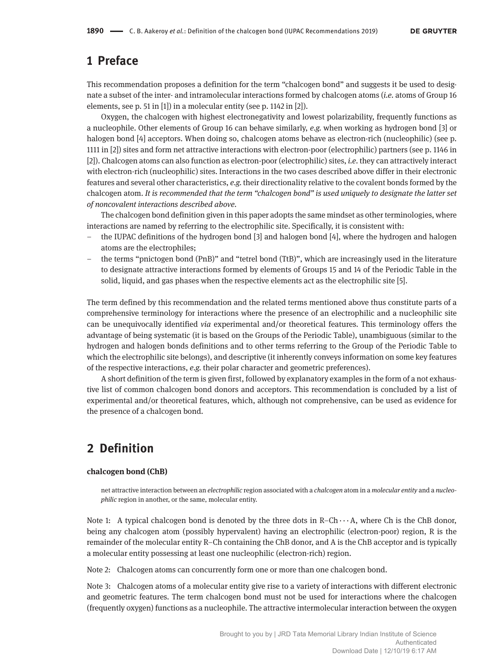### **1 Preface**

This recommendation proposes a definition for the term "chalcogen bond" and suggests it be used to designate a subset of the inter- and intramolecular interactions formed by chalcogen atoms (*i.e.* atoms of Group 16 elements, see p. 51 in [1]) in a molecular entity (see p. 1142 in [2]).

Oxygen, the chalcogen with highest electronegativity and lowest polarizability, frequently functions as a nucleophile. Other elements of Group 16 can behave similarly, *e.g.* when working as hydrogen bond [3] or halogen bond [4] acceptors. When doing so, chalcogen atoms behave as electron-rich (nucleophilic) (see p. 1111 in [2]) sites and form net attractive interactions with electron-poor (electrophilic) partners (see p. 1146 in [2]). Chalcogen atoms can also function as electron-poor (electrophilic) sites, *i.e.* they can attractively interact with electron-rich (nucleophilic) sites. Interactions in the two cases described above differ in their electronic features and several other characteristics, *e.g.* their directionality relative to the covalent bonds formed by the chalcogen atom. *It is recommended that the term "chalcogen bond" is used uniquely to designate the latter set of noncovalent interactions described above.*

The chalcogen bond definition given in this paper adopts the same mindset as other terminologies, where interactions are named by referring to the electrophilic site. Specifically, it is consistent with:

- the IUPAC definitions of the hydrogen bond [3] and halogen bond [4], where the hydrogen and halogen atoms are the electrophiles;
- the terms "pnictogen bond (PnB)" and "tetrel bond (TtB)", which are increasingly used in the literature to designate attractive interactions formed by elements of Groups 15 and 14 of the Periodic Table in the solid, liquid, and gas phases when the respective elements act as the electrophilic site [5].

The term defined by this recommendation and the related terms mentioned above thus constitute parts of a comprehensive terminology for interactions where the presence of an electrophilic and a nucleophilic site can be unequivocally identified *via* experimental and/or theoretical features. This terminology offers the advantage of being systematic (it is based on the Groups of the Periodic Table), unambiguous (similar to the hydrogen and halogen bonds definitions and to other terms referring to the Group of the Periodic Table to which the electrophilic site belongs), and descriptive (it inherently conveys information on some key features of the respective interactions, *e.g.* their polar character and geometric preferences).

A short definition of the term is given first, followed by explanatory examples in the form of a not exhaustive list of common chalcogen bond donors and acceptors. This recommendation is concluded by a list of experimental and/or theoretical features, which, although not comprehensive, can be used as evidence for the presence of a chalcogen bond.

# **2 Definition**

#### **chalcogen bond (ChB)**

net attractive interaction between an *electrophilic* region associated with a *chalcogen* atom in a *molecular entity* and a *nucleophilic* region in another, or the same, molecular entity.

Note 1: A typical chalcogen bond is denoted by the three dots in  $R$ –Ch $\cdots$ A, where Ch is the ChB donor, being any chalcogen atom (possibly hypervalent) having an electrophilic (electron-poor) region, R is the remainder of the molecular entity R–Ch containing the ChB donor, and A is the ChB acceptor and is typically a molecular entity possessing at least one nucleophilic (electron-rich) region.

Note 2: Chalcogen atoms can concurrently form one or more than one chalcogen bond.

Note 3: Chalcogen atoms of a molecular entity give rise to a variety of interactions with different electronic and geometric features. The term chalcogen bond must not be used for interactions where the chalcogen (frequently oxygen) functions as a nucleophile. The attractive intermolecular interaction between the oxygen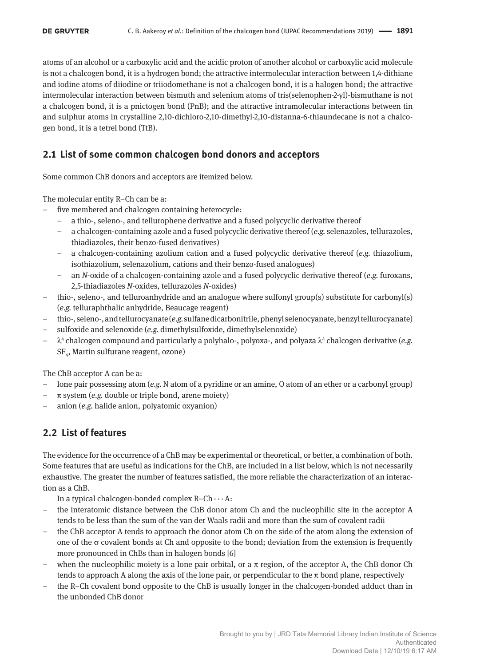atoms of an alcohol or a carboxylic acid and the acidic proton of another alcohol or carboxylic acid molecule is not a chalcogen bond, it is a hydrogen bond; the attractive intermolecular interaction between 1,4-dithiane and iodine atoms of diiodine or triiodomethane is not a chalcogen bond, it is a halogen bond; the attractive intermolecular interaction between bismuth and selenium atoms of tris(selenophen-2-yl)-bismuthane is not a chalcogen bond, it is a pnictogen bond (PnB); and the attractive intramolecular interactions between tin and sulphur atoms in crystalline 2,10-dichloro-2,10-dimethyl-2,10-distanna-6-thiaundecane is not a chalcogen bond, it is a tetrel bond (TtB).

### **2.1 List of some common chalcogen bond donors and acceptors**

Some common ChB donors and acceptors are itemized below.

The molecular entity R–Ch can be a:

- five membered and chalcogen containing heterocycle:
	- a thio-, seleno-, and tellurophene derivative and a fused polycyclic derivative thereof
	- a chalcogen-containing azole and a fused polycyclic derivative thereof (*e.g.* selenazoles, tellurazoles, thiadiazoles, their benzo-fused derivatives)
	- a chalcogen-containing azolium cation and a fused polycyclic derivative thereof (*e.g.* thiazolium, isothiazolium, selenazolium, cations and their benzo-fused analogues)
	- an *N*-oxide of a chalcogen-containing azole and a fused polycyclic derivative thereof (*e.g.* furoxans, 2,5-thiadiazoles *N*-oxides, tellurazoles *N*-oxides)
- thio-, seleno-, and telluroanhydride and an analogue where sulfonyl group(s) substitute for carbonyl(s) (*e.g.* telluraphthalic anhydride, Beaucage reagent)
- thio-, seleno-, and tellurocyanate (*e.g.* sulfane dicarbonitrile, phenyl selenocyanate, benzyl tellurocyanate)
- sulfoxide and selenoxide (*e.g.* dimethylsulfoxide, dimethylselenoxide)
- $\sim$   $\lambda$ <sup>4</sup> chalcogen compound and particularly a polyhalo-, polyoxa-, and polyaza  $\lambda$ <sup>4</sup> chalcogen derivative (*e.g.*  $\text{SF}_{_4}$ , Martin sulfurane reagent, ozone)

The ChB acceptor A can be a:

- lone pair possessing atom (*e.g.* N atom of a pyridine or an amine, O atom of an ether or a carbonyl group)
- $\pi$  system (*e.g.* double or triple bond, arene moiety)
- anion (*e.g.* halide anion, polyatomic oxyanion)

### **2.2 List of features**

The evidence for the occurrence of a ChB may be experimental or theoretical, or better, a combination of both. Some features that are useful as indications for the ChB, are included in a list below, which is not necessarily exhaustive. The greater the number of features satisfied, the more reliable the characterization of an interaction as a ChB.

In a typical chalcogen-bonded complex  $R$ –Ch $\cdots$ A:

- the interatomic distance between the ChB donor atom Ch and the nucleophilic site in the acceptor A tends to be less than the sum of the van der Waals radii and more than the sum of covalent radii
- the ChB acceptor A tends to approach the donor atom Ch on the side of the atom along the extension of one of the  $\sigma$  covalent bonds at Ch and opposite to the bond; deviation from the extension is frequently more pronounced in ChBs than in halogen bonds [6]
- when the nucleophilic moiety is a lone pair orbital, or a π region, of the acceptor A, the ChB donor Ch tends to approach A along the axis of the lone pair, or perpendicular to the  $\pi$  bond plane, respectively
- the R–Ch covalent bond opposite to the ChB is usually longer in the chalcogen-bonded adduct than in the unbonded ChB donor